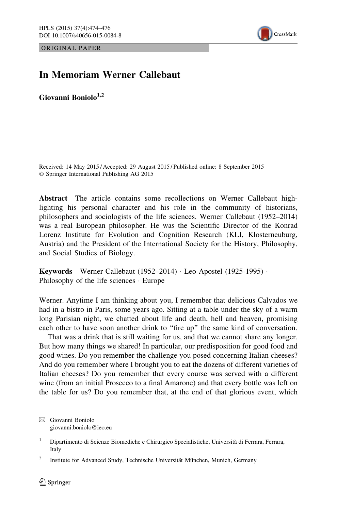ORIGINAL PAPER



## In Memoriam Werner Callebaut

Giovanni Boniolo $^{1,2}$ 

Received: 14 May 2015 / Accepted: 29 August 2015 / Published online: 8 September 2015 - Springer International Publishing AG 2015

Abstract The article contains some recollections on Werner Callebaut highlighting his personal character and his role in the community of historians, philosophers and sociologists of the life sciences. Werner Callebaut (1952–2014) was a real European philosopher. He was the Scientific Director of the Konrad Lorenz Institute for Evolution and Cognition Research (KLI, Klosterneuburg, Austria) and the President of the International Society for the History, Philosophy, and Social Studies of Biology.

Keywords Werner Callebaut (1952–2014) - Leo Apostel (1925-1995) - Philosophy of the life sciences - Europe

Werner. Anytime I am thinking about you, I remember that delicious Calvados we had in a bistro in Paris, some years ago. Sitting at a table under the sky of a warm long Parisian night, we chatted about life and death, hell and heaven, promising each other to have soon another drink to ''fire up'' the same kind of conversation.

That was a drink that is still waiting for us, and that we cannot share any longer. But how many things we shared! In particular, our predisposition for good food and good wines. Do you remember the challenge you posed concerning Italian cheeses? And do you remember where I brought you to eat the dozens of different varieties of Italian cheeses? Do you remember that every course was served with a different wine (from an initial Prosecco to a final Amarone) and that every bottle was left on the table for us? Do you remember that, at the end of that glorious event, which

 $\boxtimes$  Giovanni Boniolo giovanni.boniolo@ieo.eu

<sup>&</sup>lt;sup>1</sup> Dipartimento di Scienze Biomediche e Chirurgico Specialistiche, Università di Ferrara, Ferrara, Italy

<sup>&</sup>lt;sup>2</sup> Institute for Advanced Study, Technische Universität München, Munich, Germany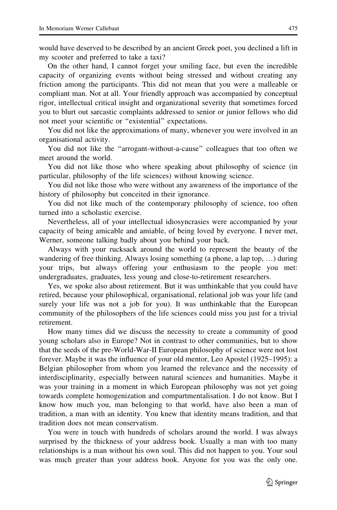would have deserved to be described by an ancient Greek poet, you declined a lift in my scooter and preferred to take a taxi?

On the other hand, I cannot forget your smiling face, but even the incredible capacity of organizing events without being stressed and without creating any friction among the participants. This did not mean that you were a malleable or compliant man. Not at all. Your friendly approach was accompanied by conceptual rigor, intellectual critical insight and organizational severity that sometimes forced you to blurt out sarcastic complaints addressed to senior or junior fellows who did not meet your scientific or ''existential'' expectations.

You did not like the approximations of many, whenever you were involved in an organisational activity.

You did not like the ''arrogant-without-a-cause'' colleagues that too often we meet around the world.

You did not like those who where speaking about philosophy of science (in particular, philosophy of the life sciences) without knowing science.

You did not like those who were without any awareness of the importance of the history of philosophy but conceited in their ignorance.

You did not like much of the contemporary philosophy of science, too often turned into a scholastic exercise.

Nevertheless, all of your intellectual idiosyncrasies were accompanied by your capacity of being amicable and amiable, of being loved by everyone. I never met, Werner, someone talking badly about you behind your back.

Always with your rucksack around the world to represent the beauty of the wandering of free thinking. Always losing something (a phone, a lap top, …) during your trips, but always offering your enthusiasm to the people you met: undergraduates, graduates, less young and close-to-retirement researchers.

Yes, we spoke also about retirement. But it was unthinkable that you could have retired, because your philosophical, organisational, relational job was your life (and surely your life was not a job for you). It was unthinkable that the European community of the philosophers of the life sciences could miss you just for a trivial retirement.

How many times did we discuss the necessity to create a community of good young scholars also in Europe? Not in contrast to other communities, but to show that the seeds of the pre-World-War-II European philosophy of science were not lost forever. Maybe it was the influence of your old mentor, Leo Apostel (1925–1995): a Belgian philosopher from whom you learned the relevance and the necessity of interdisciplinarity, especially between natural sciences and humanities. Maybe it was your training in a moment in which European philosophy was not yet going towards complete homogenization and compartmentalisation. I do not know. But I know how much you, man belonging to that world, have also been a man of tradition, a man with an identity. You knew that identity means tradition, and that tradition does not mean conservatism.

You were in touch with hundreds of scholars around the world. I was always surprised by the thickness of your address book. Usually a man with too many relationships is a man without his own soul. This did not happen to you. Your soul was much greater than your address book. Anyone for you was the only one.